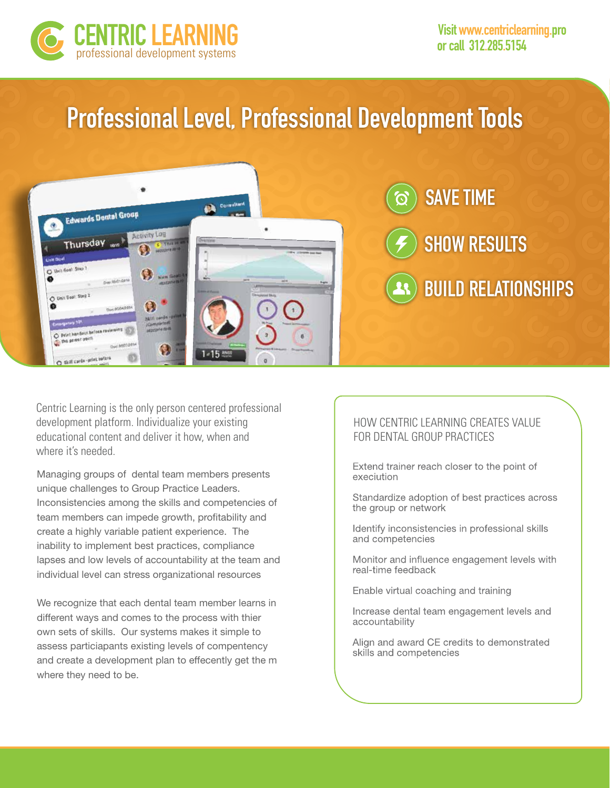

# **Professional Level, Professional Development Tools**



Centric Learning is the only person centered professional development platform. Individualize your existing educational content and deliver it how, when and where it's needed.

Managing groups of dental team members presents unique challenges to Group Practice Leaders. Inconsistencies among the skills and competencies of team members can impede growth, profitability and create a highly variable patient experience. The inability to implement best practices, compliance lapses and low levels of accountability at the team and individual level can stress organizational resources

We recognize that each dental team member learns in different ways and comes to the process with thier own sets of skills. Our systems makes it simple to assess particiapants existing levels of compentency and create a development plan to effecently get the m where they need to be.

### HOW CENTRIC LEARNING CREATES VALUE FOR DENTAL GROUP PRACTICES

Extend trainer reach closer to the point of execiution

Standardize adoption of best practices across the group or network

Identify inconsistencies in professional skills and competencies

Monitor and influence engagement levels with real-time feedback

Enable virtual coaching and training

Increase dental team engagement levels and accountability

Align and award CE credits to demonstrated skills and competencies